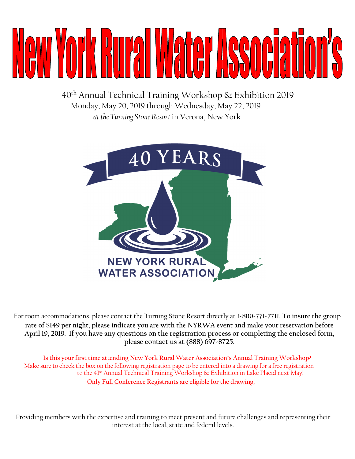# A I HUILI

40th Annual Technical Training Workshop & Exhibition 2019 Monday, May 20, 2019 through Wednesday, May 22, 2019 *at the Turning Stone Resort* in Verona, New York



For room accommodations, please contact the Turning Stone Resort directly at **1-800-771-7711. To insure the group rate of \$149 per night, please indicate you are with the NYRWA event and make your reservation before April 19, 2019. If you have any questions on the registration process or completing the enclosed form, please contact us at (888) 697-8725.** 

**Is this your first time attending New York Rural Water Association's Annual Training Workshop?**  Make sure to check the box on the following registration page to be entered into a drawing for a free registration to the 41<sup>st</sup> Annual Technical Training Workshop & Exhibition in Lake Placid next May! **Only Full Conference Registrants are eligible for the drawing.**

Providing members with the expertise and training to meet present and future challenges and representing their interest at the local, state and federal levels.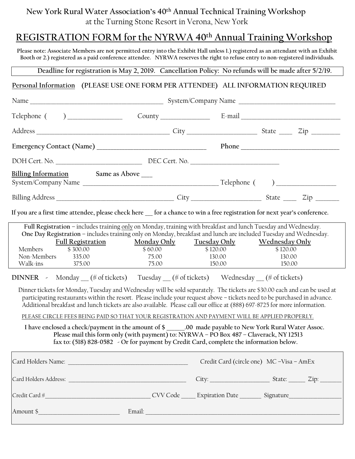## **New York Rural Water Association's 40th Annual Technical Training Workshop**  at the Turning Stone Resort in Verona, New York

## **REGISTRATION FORM for the NYRWA 40th Annual Training Workshop**

**Please note: Associate Members are not permitted entry into the Exhibit Hall unless 1.) registered as an attendant with an Exhibit Booth or 2.) registered as a paid conference attendee. NYRWA reserves the right to refuse entry to non-registered individuals.** 

**Deadline for registration is May 2, 2019. Cancellation Policy: No refunds will be made after 5/2/19.** 

## **Personal Information (PLEASE USE ONE FORM PER ATTENDEE) ALL INFORMATION REQUIRED**

| <u>Billing Information</u> Same as Above ____                                                                                                                                                                                                                                                                                                                                                                                                                                                                                                                                                                                                                                                                                                                                                                                                                                   |                                                       |                                         |                                                |  |  |  |
|---------------------------------------------------------------------------------------------------------------------------------------------------------------------------------------------------------------------------------------------------------------------------------------------------------------------------------------------------------------------------------------------------------------------------------------------------------------------------------------------------------------------------------------------------------------------------------------------------------------------------------------------------------------------------------------------------------------------------------------------------------------------------------------------------------------------------------------------------------------------------------|-------------------------------------------------------|-----------------------------------------|------------------------------------------------|--|--|--|
|                                                                                                                                                                                                                                                                                                                                                                                                                                                                                                                                                                                                                                                                                                                                                                                                                                                                                 |                                                       |                                         |                                                |  |  |  |
| If you are a first time attendee, please check here __ for a chance to win a free registration for next year's conference.                                                                                                                                                                                                                                                                                                                                                                                                                                                                                                                                                                                                                                                                                                                                                      |                                                       |                                         |                                                |  |  |  |
| Full Registration - includes training only on Monday, training with breakfast and lunch Tuesday and Wednesday.<br>One Day Registration - includes training only on Monday, breakfast and lunch are included Tuesday and Wednesday.<br><b>Full Registration</b><br>Members<br>\$300.00<br>Non-Members 335.00<br>Walk-ins<br>375.00                                                                                                                                                                                                                                                                                                                                                                                                                                                                                                                                               | Monday Only Tuesday Only<br>\$60.00<br>75.00<br>75.00 | \$120.00<br>130.00<br>150.00            | Wednesday Only<br>\$120.00<br>130.00<br>150.00 |  |  |  |
| <b>DINNER</b> - Monday (# of tickets) Tuesday (# of tickets) Wednesday (# of tickets)<br>Dinner tickets for Monday, Tuesday and Wednesday will be sold separately. The tickets are \$30.00 each and can be used at<br>participating restaurants within the resort. Please include your request above - tickets need to be purchased in advance.<br>Additional breakfast and lunch tickets are also available. Please call our office at (888) 697-8725 for more information.<br>PLEASE CIRCLE FEES BEING PAID SO THAT YOUR REGISTRATION AND PAYMENT WILL BE APPLIED PROPERLY.<br>I have enclosed a check/payment in the amount of \$ ______.00 made payable to New York Rural Water Assoc.<br>Please mail this form only (with payment) to: NYRWA - PO Box 487 - Claverack, NY 12513<br>fax to: (518) 828-0582 - Or for payment by Credit Card, complete the information below. |                                                       |                                         |                                                |  |  |  |
|                                                                                                                                                                                                                                                                                                                                                                                                                                                                                                                                                                                                                                                                                                                                                                                                                                                                                 |                                                       | Credit Card (circle one) MC-Visa - AmEx |                                                |  |  |  |
|                                                                                                                                                                                                                                                                                                                                                                                                                                                                                                                                                                                                                                                                                                                                                                                                                                                                                 |                                                       |                                         |                                                |  |  |  |
|                                                                                                                                                                                                                                                                                                                                                                                                                                                                                                                                                                                                                                                                                                                                                                                                                                                                                 |                                                       |                                         |                                                |  |  |  |
| Amount \$                                                                                                                                                                                                                                                                                                                                                                                                                                                                                                                                                                                                                                                                                                                                                                                                                                                                       |                                                       |                                         |                                                |  |  |  |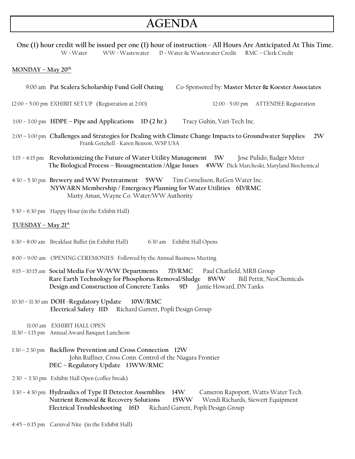# **AGENDA**

 **One (1) hour credit will be issued per one (1) hour of instruction - All Hours Are Anticipated At This Time.** W = Water WW = Wastewater D = Water & Wastewater Credit RMC – Clerk Credit

#### **MONDAY – May 20th**

9:00 am **Pat Scalera Scholarship Fund Golf Outing** Co-Sponsored by: **Master Meter & Koester Associates** 

12:00 – 5:00 pm EXHIBIT SET UP (Registration at 2:00) 12:00 - 5:00 pm ATTENDEE Registration

1:00 – 3:00 pm **HDPE – Pipe and Applications 1D (2 hr.)** Tracy Guhin, Vari-Tech Inc.

- 2:00 3:00 pm **Challenges and Strategies for Dealing with Climate Change Impacts to Groundwater Supplies 2W** Frank Getchell - Karen Benson, WSP USA
- 3:15 4:15 pm **Revolutionizing the Future of Water Utility Management 3W** Jose Pulido, Badger Meter  **The Biological Process – Bioaugmentation /Algae Issues 4WW** Dick Marcheski, Maryland Biochemical
- 4:30 5:30 pm **Brewery and WW Pretreatment 5WW** Tim Cornelison, ReGen Water Inc.  **NYWARN Membership / Emergency Planning for Water Utilities 6D/RMC**  Marty Aman, Wayne Co. Water/WW Authority
- 5:30 6:30 pm Happy Hour (in the Exhibit Hall)

#### **TUESDAY – May 21st**

- 6:30 8:00 am Breakfast Buffet (in Exhibit Hall) 6:30 am Exhibit Hall Opens
- 8:00 9:00 am OPENING CEREMONIES Followed by the Annual Business Meeting
- 9:15 10:15 am **Social Media For W/WW Departments 7D/RMC** Paul Chatfield, MRB Group **Rare Earth Technology for Phosphorus Removal/Sludge 8WW** Bill Pettit, NeoChemicals  **Design and Construction of Concrete Tanks 9D** Jamie Howard, DN Tanks
- 10:30 11:30 am **DOH -Regulatory Update 10W/RMC Electrical Safety 11D** Richard Garrett, Popli Design Group
	- 11:00 am EXHIBIT HALL OPEN
- 11:30 1:15 pm Annual Award Banquet Luncheon
- 1:30 2:30 pm **Backflow Prevention and Cross Connection 12W** John Ruffner, Cross Conn. Control of the Niagara Frontier **DEC – Regulatory Update 13WW/RMC**
- 2:30 3:30 pmExhibit Hall Open (coffee break)
- 3:30 4:30 pm **Hydraulics of Type II Detector Assemblies 14W** Cameron Rapoport, Watts Water Tech.  **Nutrient Removal & Recovery Solutions 15WW** Wendi Richards, Siewert Equipment **Electrical Troubleshooting 16D** Richard Garrett, Popli Design Group
- 4:45 6:15 pm Carnival Nite (in the Exhibit Hall)